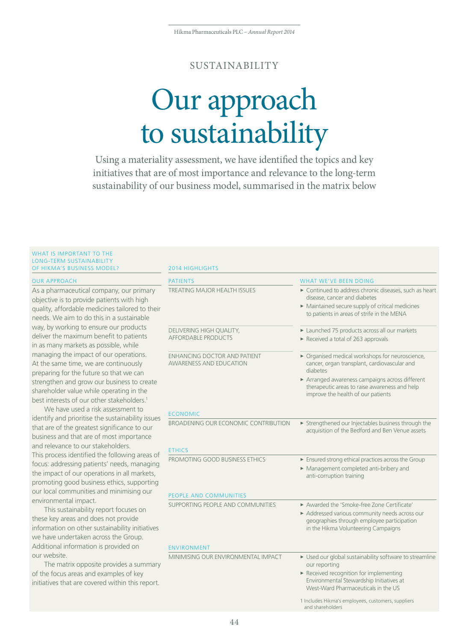## SUSTAINABILITY

# Our approach to sustainability

Using a materiality assessment, we have identified the topics and key initiatives that are of most importance and relevance to the long-term sustainability of our business model, summarised in the matrix below

#### WHAT IS IMPORTANT TO THE LONG-TERM SUSTAINABILITY OF HIKMA'S BUSINESS MODEL? 2014 HIGHLIGHTS

| <b>OUR APPROACH</b>                                                                                                                                                                                                                                                                                                                                                                                                                                                                                                                                                                                                                                                                                                                                                                                                                                                                                                                                                                                                                                                                                                                                                                                                                                                                                                                                                                                                                                                                 | <b>PATIENTS</b>                                                          | <b>WHAT WE'VE BEEN DOING</b>                                                                                                                                                                                                                        |
|-------------------------------------------------------------------------------------------------------------------------------------------------------------------------------------------------------------------------------------------------------------------------------------------------------------------------------------------------------------------------------------------------------------------------------------------------------------------------------------------------------------------------------------------------------------------------------------------------------------------------------------------------------------------------------------------------------------------------------------------------------------------------------------------------------------------------------------------------------------------------------------------------------------------------------------------------------------------------------------------------------------------------------------------------------------------------------------------------------------------------------------------------------------------------------------------------------------------------------------------------------------------------------------------------------------------------------------------------------------------------------------------------------------------------------------------------------------------------------------|--------------------------------------------------------------------------|-----------------------------------------------------------------------------------------------------------------------------------------------------------------------------------------------------------------------------------------------------|
| As a pharmaceutical company, our primary<br>objective is to provide patients with high<br>quality, affordable medicines tailored to their<br>needs. We aim to do this in a sustainable<br>way, by working to ensure our products<br>deliver the maximum benefit to patients<br>in as many markets as possible, while<br>managing the impact of our operations.<br>At the same time, we are continuously<br>preparing for the future so that we can<br>strengthen and grow our business to create<br>shareholder value while operating in the<br>best interests of our other stakeholders. <sup>1</sup><br>We have used a risk assessment to<br>identify and prioritise the sustainability issues<br>that are of the greatest significance to our<br>business and that are of most importance<br>and relevance to our stakeholders.<br>This process identified the following areas of<br>focus: addressing patients' needs, managing<br>the impact of our operations in all markets,<br>promoting good business ethics, supporting<br>our local communities and minimising our<br>environmental impact.<br>This sustainability report focuses on<br>these key areas and does not provide<br>information on other sustainability initiatives<br>we have undertaken across the Group.<br>Additional information is provided on<br>our website.<br>The matrix opposite provides a summary<br>of the focus areas and examples of key<br>initiatives that are covered within this report. | <b>TREATING MAJOR HEALTH ISSUES</b>                                      | ► Continued to address chronic diseases, such as heart<br>disease, cancer and diabetes<br>• Maintained secure supply of critical medicines<br>to patients in areas of strife in the MENA                                                            |
|                                                                                                                                                                                                                                                                                                                                                                                                                                                                                                                                                                                                                                                                                                                                                                                                                                                                                                                                                                                                                                                                                                                                                                                                                                                                                                                                                                                                                                                                                     | DELIVERING HIGH QUALITY,<br><b>AFFORDABLE PRODUCTS</b>                   | Launched 75 products across all our markets<br>Received a total of 263 approvals                                                                                                                                                                    |
|                                                                                                                                                                                                                                                                                                                                                                                                                                                                                                                                                                                                                                                                                                                                                                                                                                                                                                                                                                                                                                                                                                                                                                                                                                                                                                                                                                                                                                                                                     | <b>ENHANCING DOCTOR AND PATIENT</b><br><b>AWARENESS AND EDUCATION</b>    | ▶ Organised medical workshops for neuroscience,<br>cancer, organ transplant, cardiovascular and<br>diabetes<br>Arranged awareness campaigns across different<br>therapeutic areas to raise awareness and help<br>improve the health of our patients |
|                                                                                                                                                                                                                                                                                                                                                                                                                                                                                                                                                                                                                                                                                                                                                                                                                                                                                                                                                                                                                                                                                                                                                                                                                                                                                                                                                                                                                                                                                     | <b>ECONOMIC</b><br>BROADENING OUR ECONOMIC CONTRIBUTION<br><b>ETHICS</b> | Strengthened our Injectables business through the<br>acquisition of the Bedford and Ben Venue assets                                                                                                                                                |
|                                                                                                                                                                                                                                                                                                                                                                                                                                                                                                                                                                                                                                                                                                                                                                                                                                                                                                                                                                                                                                                                                                                                                                                                                                                                                                                                                                                                                                                                                     | PROMOTING GOOD BUSINESS ETHICS                                           | Ensured strong ethical practices across the Group<br>Management completed anti-bribery and<br>anti-corruption training                                                                                                                              |
|                                                                                                                                                                                                                                                                                                                                                                                                                                                                                                                                                                                                                                                                                                                                                                                                                                                                                                                                                                                                                                                                                                                                                                                                                                                                                                                                                                                                                                                                                     | PEOPLE AND COMMUNITIES                                                   |                                                                                                                                                                                                                                                     |
|                                                                                                                                                                                                                                                                                                                                                                                                                                                                                                                                                                                                                                                                                                                                                                                                                                                                                                                                                                                                                                                                                                                                                                                                                                                                                                                                                                                                                                                                                     | SUPPORTING PEOPLE AND COMMUNITIES                                        | Awarded the 'Smoke-free Zone Certificate'<br>Addressed various community needs across our<br>geographies through employee participation<br>in the Hikma Volunteering Campaigns                                                                      |
|                                                                                                                                                                                                                                                                                                                                                                                                                                                                                                                                                                                                                                                                                                                                                                                                                                                                                                                                                                                                                                                                                                                                                                                                                                                                                                                                                                                                                                                                                     | <b>ENVIRONMENT</b>                                                       |                                                                                                                                                                                                                                                     |
|                                                                                                                                                                                                                                                                                                                                                                                                                                                                                                                                                                                                                                                                                                                                                                                                                                                                                                                                                                                                                                                                                                                                                                                                                                                                                                                                                                                                                                                                                     | MINIMISING OUR ENVIRONMENTAL IMPACT                                      | ► Used our global sustainability software to streamline<br>our reporting<br>Received recognition for implementing<br>Environmental Stewardship Initiatives at<br>West-Ward Pharmaceuticals in the US                                                |
|                                                                                                                                                                                                                                                                                                                                                                                                                                                                                                                                                                                                                                                                                                                                                                                                                                                                                                                                                                                                                                                                                                                                                                                                                                                                                                                                                                                                                                                                                     |                                                                          | 1 Includes Hikma's employees, customers, suppliers<br>and shareholders                                                                                                                                                                              |

44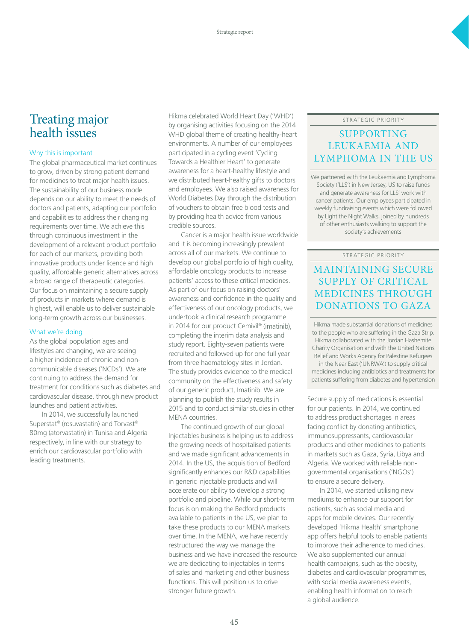# Treating major health issues

#### Why this is important

The global pharmaceutical market continues to grow, driven by strong patient demand for medicines to treat major health issues. The sustainability of our business model depends on our ability to meet the needs of doctors and patients, adapting our portfolio and capabilities to address their changing requirements over time. We achieve this through continuous investment in the development of a relevant product portfolio for each of our markets, providing both innovative products under licence and high quality, affordable generic alternatives across a broad range of therapeutic categories. Our focus on maintaining a secure supply of products in markets where demand is highest, will enable us to deliver sustainable long-term growth across our businesses.

#### What we're doing

As the global population ages and lifestyles are changing, we are seeing a higher incidence of chronic and noncommunicable diseases ('NCDs'). We are continuing to address the demand for treatment for conditions such as diabetes and cardiovascular disease, through new product launches and patient activities.

In 2014, we successfully launched Superstat® (rosuvastatin) and Torvast® 80mg (atorvastatin) in Tunisa and Algeria respectively, in line with our strategy to enrich our cardiovascular portfolio with leading treatments.

Hikma celebrated World Heart Day ('WHD') by organising activities focusing on the 2014 WHD global theme of creating healthy-heart environments. A number of our employees participated in a cycling event 'Cycling Towards a Healthier Heart' to generate awareness for a heart-healthy lifestyle and we distributed heart-healthy gifts to doctors and employees. We also raised awareness for World Diabetes Day through the distribution of vouchers to obtain free blood tests and by providing health advice from various credible sources.

Cancer is a major health issue worldwide and it is becoming increasingly prevalent across all of our markets. We continue to develop our global portfolio of high quality, affordable oncology products to increase patients' access to these critical medicines. As part of our focus on raising doctors' awareness and confidence in the quality and effectiveness of our oncology products, we undertook a clinical research programme in 2014 for our product Cemivil® (imatinib), completing the interim data analysis and study report. Eighty-seven patients were recruited and followed up for one full year from three haematology sites in Jordan. The study provides evidence to the medical community on the effectiveness and safety of our generic product, Imatinib. We are planning to publish the study results in 2015 and to conduct similar studies in other MENA countries.

The continued growth of our global Injectables business is helping us to address the growing needs of hospitalised patients and we made significant advancements in 2014. In the US, the acquisition of Bedford significantly enhances our R&D capabilities in generic injectable products and will accelerate our ability to develop a strong portfolio and pipeline. While our short-term focus is on making the Bedford products available to patients in the US, we plan to take these products to our MENA markets over time. In the MENA, we have recently restructured the way we manage the business and we have increased the resource we are dedicating to injectables in terms of sales and marketing and other business functions. This will position us to drive stronger future growth.

#### STRATEGIC PRIORITY

## SUPPORTING LEUKAEMIA AND LYMPHOMA IN THE US

We partnered with the Leukaemia and Lymphoma Society ('LLS') in New Jersey, US to raise funds and generate awareness for LLS' work with cancer patients. Our employees participated in weekly fundraising events which were followed by Light the Night Walks, joined by hundreds of other enthusiasts walking to support the society's achievements

#### STRATEGIC PRIORITY

# MAINTAINING SECURE SUPPLY OF CRITICAL MEDICINES THROUGH DONATIONS TO GAZA

Hikma made substantial donations of medicines to the people who are suffering in the Gaza Strip. Hikma collaborated with the Jordan Hashemite Charity Organisation and with the United Nations Relief and Works Agency for Palestine Refugees

in the Near East ('UNRWA') to supply critical medicines including antibiotics and treatments for patients suffering from diabetes and hypertension

Secure supply of medications is essential for our patients. In 2014, we continued to address product shortages in areas facing conflict by donating antibiotics, immunosuppressants, cardiovascular products and other medicines to patients in markets such as Gaza, Syria, Libya and Algeria. We worked with reliable nongovernmental organisations ('NGOs') to ensure a secure delivery.

In 2014, we started utilising new mediums to enhance our support for patients, such as social media and apps for mobile devices. Our recently developed 'Hikma Health' smartphone app offers helpful tools to enable patients to improve their adherence to medicines. We also supplemented our annual health campaigns, such as the obesity, diabetes and cardiovascular programmes, with social media awareness events, enabling health information to reach a global audience.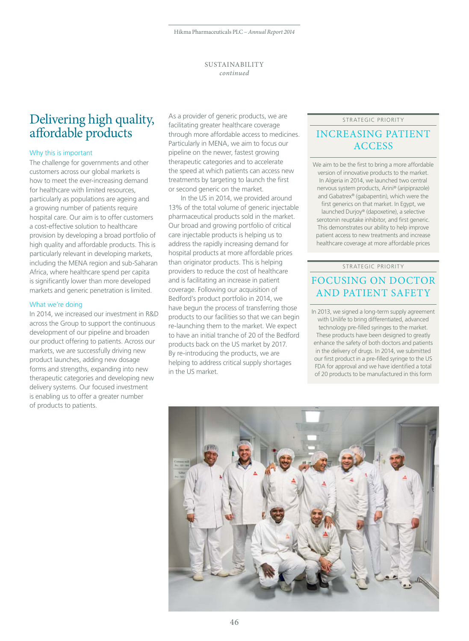#### SUSTAINABILITY *continued*

# Delivering high quality, affordable products

#### Why this is important

The challenge for governments and other customers across our global markets is how to meet the ever-increasing demand for healthcare with limited resources, particularly as populations are ageing and a growing number of patients require hospital care. Our aim is to offer customers a cost-effective solution to healthcare provision by developing a broad portfolio of high quality and affordable products. This is particularly relevant in developing markets, including the MENA region and sub-Saharan Africa, where healthcare spend per capita is significantly lower than more developed markets and generic penetration is limited.

#### What we're doing

In 2014, we increased our investment in R&D across the Group to support the continuous development of our pipeline and broaden our product offering to patients. Across our markets, we are successfully driving new product launches, adding new dosage forms and strengths, expanding into new therapeutic categories and developing new delivery systems. Our focused investment is enabling us to offer a greater number of products to patients.

As a provider of generic products, we are facilitating greater healthcare coverage through more affordable access to medicines. Particularly in MENA, we aim to focus our pipeline on the newer, fastest growing therapeutic categories and to accelerate the speed at which patients can access new treatments by targeting to launch the first or second generic on the market.

In the US in 2014, we provided around 13% of the total volume of generic injectable pharmaceutical products sold in the market. Our broad and growing portfolio of critical care injectable products is helping us to address the rapidly increasing demand for hospital products at more affordable prices than originator products. This is helping providers to reduce the cost of healthcare and is facilitating an increase in patient coverage. Following our acquisition of Bedford's product portfolio in 2014, we have begun the process of transferring those products to our facilities so that we can begin re-launching them to the market. We expect to have an initial tranche of 20 of the Bedford products back on the US market by 2017. By re-introducing the products, we are helping to address critical supply shortages in the US market.

#### STRATEGIC PRIORITY

## INCREASING PATIENT **ACCESS**

We aim to be the first to bring a more affordable version of innovative products to the market. In Algeria in 2014, we launched two central nervous system products, Arini® (aripiprazole) and Gabatrex® (gabapentin), which were the first generics on that market. In Egypt, we launched Durjoy® (dapoxetine), a selective serotonin reuptake inhibitor, and first generic. This demonstrates our ability to help improve patient access to new treatments and increase healthcare coverage at more affordable prices

#### STRATEGIC PRIORITY

# FOCUSING ON DOCTOR AND PATIENT SAFETY

In 2013, we signed a long-term supply agreement with Unilife to bring differentiated, advanced technology pre-filled syringes to the market. These products have been designed to greatly enhance the safety of both doctors and patients in the delivery of drugs. In 2014, we submitted our first product in a pre-filled syringe to the US FDA for approval and we have identified a total of 20 products to be manufactured in this form

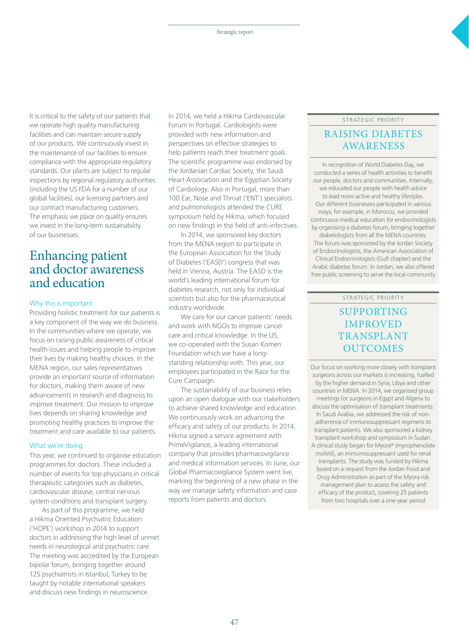It is critical to the safety of our patients that we operate high quality manufacturing facilities and can maintain secure supply of our products. We continuously invest in the maintenance of our facilities to ensure compliance with the appropriate regulatory standards. Our plants are subject to regular inspections by regional regulatory authorities (including the US FDA for a number of our global facilities), our licensing partners and our contract manufacturing customers. The emphasis we place on quality ensures we invest in the long-term sustainability of our businesses.

# Enhancing patient and doctor awareness and education

#### Why this is important

Providing holistic treatment for our patients is a key component of the way we do business. In the communities where we operate, we focus on raising public awareness of critical health issues and helping people to improve their lives by making healthy choices. In the MENA region, our sales representatives provide an important source of information for doctors, making them aware of new advancements in research and diagnosis to improve treatment. Our mission to improve lives depends on sharing knowledge and promoting healthy practices to improve the treatment and care available to our patients.

#### What we're doing

This year, we continued to organise education programmes for doctors. These included a number of events for top physicians in critical therapeutic categories such as diabetes, cardiovascular disease, central nervous system conditions and transplant surgery.

As part of this programme, we held a Hikma Oriented Psychiatric Education ('HOPE') workshop in 2014 to support doctors in addressing the high level of unmet needs in neurological and psychiatric care. The meeting was accredited by the European bipolar forum, bringing together around 125 psychiatrists in Istanbul, Turkey to be taught by notable international speakers and discuss new findings in neuroscience.

In 2014, we held a Hikma Cardiovascular Forum in Portugal. Cardiologists were provided with new information and perspectives on effective strategies to help patients reach their treatment goals. The scientific programme was endorsed by the Jordanian Cardiac Society, the Saudi Heart Association and the Egyptian Society of Cardiology. Also in Portugal, more than 100 Ear, Nose and Throat ('ENT') specialists and pulmonologists attended the CURE symposium held by Hikma, which focused on new findings in the field of anti-infectives.

In 2014, we sponsored key doctors from the MENA region to participate in the European Association for the Study of Diabetes ('EASD') congress that was held in Vienna, Austria. The EASD is the world's leading international forum for diabetes research, not only for individual scientists but also for the pharmaceutical industry worldwide.

We care for our cancer patients' needs and work with NGOs to improve cancer care and critical knowledge. In the US, we co-operated with the Susan Komen Foundation which we have a longstanding relationship with. This year, our employees participated in the Race for the Cure Campaign.

The sustainability of our business relies upon an open dialogue with our stakeholders to achieve shared knowledge and education. We continuously work on advancing the efficacy and safety of our products. In 2014, Hikma signed a service agreement with PrimeVigilance, a leading international company that provides pharmacovigilance and medical information services. In June, our Global Pharmacovigilance System went live, marking the beginning of a new phase in the way we manage safety information and case reports from patients and doctors.

#### STRATEGIC PRIORITY

## RAISING DIABETES AWARENESS

In recognition of World Diabetes Day, we conducted a series of health activities to benefit our people, doctors and communities. Internally, we educated our people with health advice to lead more active and healthy lifestyles. Our different businesses participated in various ways; for example, in Morocco, we provided continuous medical education for endocrinologists by organising a diabetes forum, bringing together diabetologists from all the MENA countries. The forum was sponsored by the Jordan Society of Endocrinologists, the American Association of Clinical Endocrinologists (Gulf chapter) and the Arabic diabetes forum. In Jordan, we also offered free public screening to serve the local community

#### STRATEGIC PRIORITY

## SUPPORTING IMPROVED TRANSPLANT OUTCOMES

Our focus on working more closely with transplant surgeons across our markets is increasing, fuelled by the higher demand in Syria, Libya and other countries in MENA. In 2014, we organised group meetings for surgeons in Egypt and Algeria to discuss the optimisation of transplant treatments. In Saudi Arabia, we addressed the risk of nonadherence of immunosuppressant regimens to transplant patients. We also sponsored a kidney transplant workshop and symposium in Sudan. A clinical study began for Myora® (mycophenolate mofetil), an immunosuppressant used for renal

transplants. The study was funded by Hikma based on a request from the Jordan Food and Drug Administration as part of the Myora risk management plan to assess the safety and efficacy of the product, covering 25 patients from two hospitals over a one-year period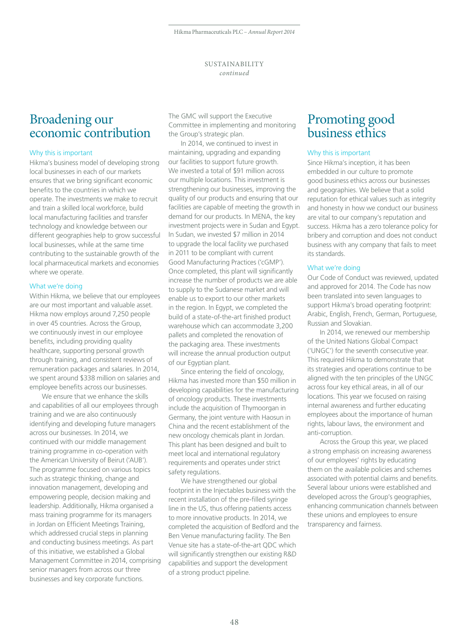# Broadening our economic contribution

#### Why this is important

Hikma's business model of developing strong local businesses in each of our markets ensures that we bring significant economic benefits to the countries in which we operate. The investments we make to recruit and train a skilled local workforce, build local manufacturing facilities and transfer technology and knowledge between our different geographies help to grow successful local businesses, while at the same time contributing to the sustainable growth of the local pharmaceutical markets and economies where we operate.

#### What we're doing

Within Hikma, we believe that our employees are our most important and valuable asset. Hikma now employs around 7,250 people in over 45 countries. Across the Group, we continuously invest in our employee benefits, including providing quality healthcare, supporting personal growth through training, and consistent reviews of remuneration packages and salaries. In 2014, we spent around \$338 million on salaries and employee benefits across our businesses.

We ensure that we enhance the skills and capabilities of all our employees through training and we are also continuously identifying and developing future managers across our businesses. In 2014, we continued with our middle management training programme in co-operation with the American University of Beirut ('AUB'). The programme focused on various topics such as strategic thinking, change and innovation management, developing and empowering people, decision making and leadership. Additionally, Hikma organised a mass training programme for its managers in Jordan on Efficient Meetings Training, which addressed crucial steps in planning and conducting business meetings. As part of this initiative, we established a Global Management Committee in 2014, comprising senior managers from across our three businesses and key corporate functions.

The GMC will support the Executive Committee in implementing and monitoring the Group's strategic plan.

In 2014, we continued to invest in maintaining, upgrading and expanding our facilities to support future growth. We invested a total of \$91 million across our multiple locations. This investment is strengthening our businesses, improving the quality of our products and ensuring that our facilities are capable of meeting the growth in demand for our products. In MENA, the key investment projects were in Sudan and Egypt. In Sudan, we invested \$7 million in 2014 to upgrade the local facility we purchased in 2011 to be compliant with current Good Manufacturing Practices ('cGMP'). Once completed, this plant will significantly increase the number of products we are able to supply to the Sudanese market and will enable us to export to our other markets in the region. In Egypt, we completed the build of a state-of-the-art finished product warehouse which can accommodate 3,200 pallets and completed the renovation of the packaging area. These investments will increase the annual production output of our Egyptian plant.

Since entering the field of oncology, Hikma has invested more than \$50 million in developing capabilities for the manufacturing of oncology products. These investments include the acquisition of Thymoorgan in Germany, the joint venture with Haosun in China and the recent establishment of the new oncology chemicals plant in Jordan. This plant has been designed and built to meet local and international regulatory requirements and operates under strict safety regulations.

We have strengthened our global footprint in the Injectables business with the recent installation of the pre-filled syringe line in the US, thus offering patients access to more innovative products. In 2014, we completed the acquisition of Bedford and the Ben Venue manufacturing facility. The Ben Venue site has a state-of-the-art QDC which will significantly strengthen our existing R&D capabilities and support the development of a strong product pipeline.

# Promoting good business ethics

#### Why this is important

Since Hikma's inception, it has been embedded in our culture to promote good business ethics across our businesses and geographies. We believe that a solid reputation for ethical values such as integrity and honesty in how we conduct our business are vital to our company's reputation and success. Hikma has a zero tolerance policy for bribery and corruption and does not conduct business with any company that fails to meet its standards.

#### What we're doing

Our Code of Conduct was reviewed, updated and approved for 2014. The Code has now been translated into seven languages to support Hikma's broad operating footprint: Arabic, English, French, German, Portuguese, Russian and Slovakian.

In 2014, we renewed our membership of the United Nations Global Compact ('UNGC') for the seventh consecutive year. This required Hikma to demonstrate that its strategies and operations continue to be aligned with the ten principles of the UNGC across four key ethical areas, in all of our locations. This year we focused on raising internal awareness and further educating employees about the importance of human rights, labour laws, the environment and anti-corruption.

Across the Group this year, we placed a strong emphasis on increasing awareness of our employees' rights by educating them on the available policies and schemes associated with potential claims and benefits. Several labour unions were established and developed across the Group's geographies, enhancing communication channels between these unions and employees to ensure transparency and fairness.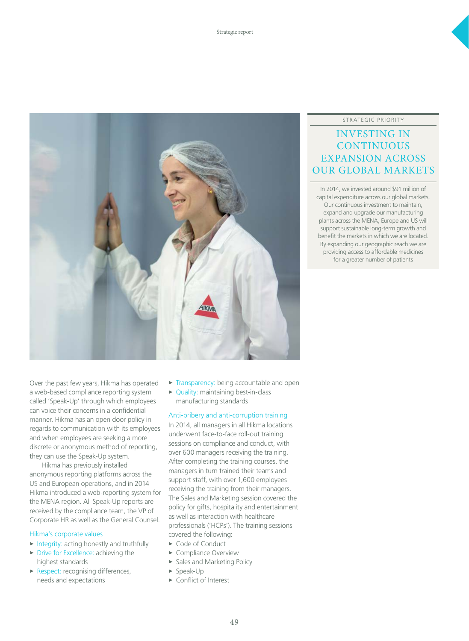

#### STRATEGIC PRIORITY

## INVESTING IN **CONTINUOUS** EXPANSION ACROSS OUR GLOBAL MARKETS

In 2014, we invested around \$91 million of capital expenditure across our global markets. Our continuous investment to maintain, expand and upgrade our manufacturing plants across the MENA, Europe and US will support sustainable long-term growth and benefit the markets in which we are located. By expanding our geographic reach we are providing access to affordable medicines for a greater number of patients

Over the past few years, Hikma has operated a web-based compliance reporting system called 'Speak-Up' through which employees can voice their concerns in a confidential manner. Hikma has an open door policy in regards to communication with its employees and when employees are seeking a more discrete or anonymous method of reporting, they can use the Speak-Up system.

Hikma has previously installed anonymous reporting platforms across the US and European operations, and in 2014 Hikma introduced a web-reporting system for the MENA region. All Speak-Up reports are received by the compliance team, the VP of Corporate HR as well as the General Counsel.

#### Hikma's corporate values

- $\triangleright$  Integrity: acting honestly and truthfully
- $\triangleright$  Drive for Excellence: achieving the highest standards
- $\blacktriangleright$  Respect: recognising differences, needs and expectations
- $\triangleright$  Transparency: being accountable and open
- $\triangleright$  Quality: maintaining best-in-class manufacturing standards

#### Anti-bribery and anti-corruption training

In 2014, all managers in all Hikma locations underwent face-to-face roll-out training sessions on compliance and conduct, with over 600 managers receiving the training. After completing the training courses, the managers in turn trained their teams and support staff, with over 1,600 employees receiving the training from their managers. The Sales and Marketing session covered the policy for gifts, hospitality and entertainment as well as interaction with healthcare professionals ('HCPs'). The training sessions covered the following:

- ► Code of Conduct
- Compliance Overview
- **>** Sales and Marketing Policy
- $\blacktriangleright$  Speak-Up
- $\triangleright$  Conflict of Interest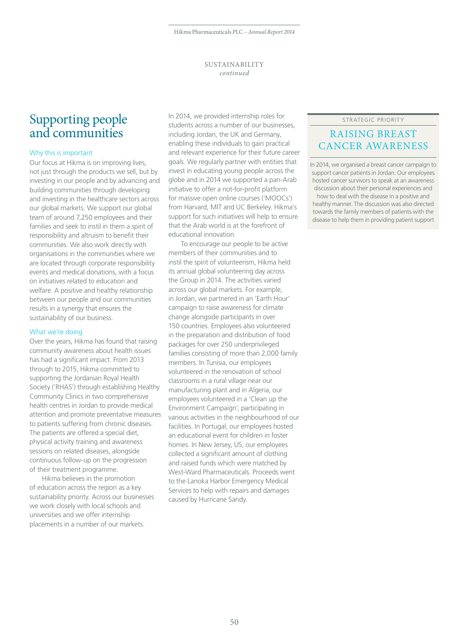#### SUSTAINABILITY *continued*

# Supporting people and communities

#### Why this is important

Our focus at Hikma is on improving lives, not just through the products we sell, but by investing in our people and by advancing and building communities through developing and investing in the healthcare sectors across our global markets. We support our global team of around 7,250 employees and their families and seek to instil in them a spirit of responsibility and altruism to benefit their communities. We also work directly with organisations in the communities where we are located through corporate responsibility events and medical donations, with a focus on initiatives related to education and welfare. A positive and healthy relationship between our people and our communities results in a synergy that ensures the sustainability of our business.

#### What we're doing

Over the years, Hikma has found that raising community awareness about health issues has had a significant impact. From 2013 through to 2015, Hikma committed to supporting the Jordanian Royal Health Society ('RHAS') through establishing Healthy Community Clinics in two comprehensive health centres in Jordan to provide medical attention and promote preventative measures to patients suffering from chronic diseases. The patients are offered a special diet, physical activity training and awareness sessions on related diseases, alongside continuous follow-up on the progression of their treatment programme.

Hikma believes in the promotion of education across the region as a key sustainability priority. Across our businesses we work closely with local schools and universities and we offer internship placements in a number of our markets.

In 2014, we provided internship roles for students across a number of our businesses, including Jordan, the UK and Germany, enabling these individuals to gain practical and relevant experience for their future career goals. We regularly partner with entities that invest in educating young people across the globe and in 2014 we supported a pan-Arab initiative to offer a not-for-profit platform for massive open online courses ('MOOCs') from Harvard, MIT and UC Berkeley. Hikma's support for such initiatives will help to ensure that the Arab world is at the forefront of educational innovation.

To encourage our people to be active members of their communities and to instil the spirit of volunteerism, Hikma held its annual global volunteering day across the Group in 2014. The activities varied across our global markets. For example, in Jordan, we partnered in an 'Earth Hour' campaign to raise awareness for climate change alongside participants in over 150 countries. Employees also volunteered in the preparation and distribution of food packages for over 250 underprivileged families consisting of more than 2,000 family members. In Tunisia, our employees volunteered in the renovation of school classrooms in a rural village near our manufacturing plant and in Algeria, our employees volunteered in a 'Clean up the Environment Campaign', participating in various activities in the neighbourhood of our facilities. In Portugal, our employees hosted an educational event for children in foster homes. In New Jersey, US, our employees collected a significant amount of clothing and raised funds which were matched by West-Ward Pharmaceuticals. Proceeds went to the Lanoka Harbor Emergency Medical Services to help with repairs and damages caused by Hurricane Sandy.

#### STRATEGIC PRIORITY

### RAISING BREAST CANCER AWARENESS

In 2014, we organised a breast cancer campaign to support cancer patients in Jordan. Our employees hosted cancer survivors to speak at an awareness discussion about their personal experiences and how to deal with the disease in a positive and healthy manner. The discussion was also directed towards the family members of patients with the disease to help them in providing patient support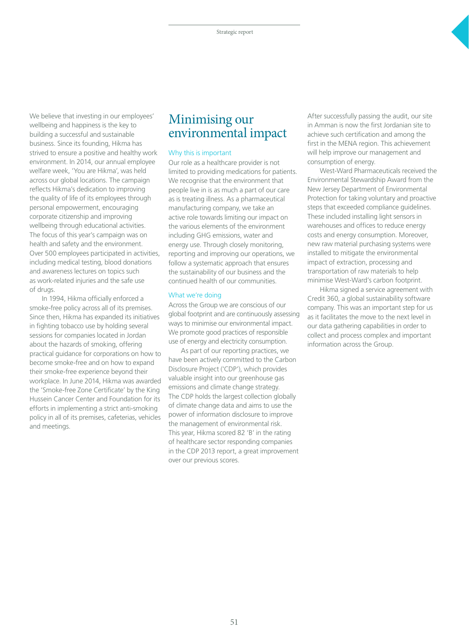We believe that investing in our employees' wellbeing and happiness is the key to building a successful and sustainable business. Since its founding, Hikma has strived to ensure a positive and healthy work environment. In 2014, our annual employee welfare week, 'You are Hikma', was held across our global locations. The campaign reflects Hikma's dedication to improving the quality of life of its employees through personal empowerment, encouraging corporate citizenship and improving wellbeing through educational activities. The focus of this year's campaign was on health and safety and the environment. Over 500 employees participated in activities, including medical testing, blood donations and awareness lectures on topics such as work-related injuries and the safe use of drugs.

In 1994, Hikma officially enforced a smoke-free policy across all of its premises. Since then, Hikma has expanded its initiatives in fighting tobacco use by holding several sessions for companies located in Jordan about the hazards of smoking, offering practical guidance for corporations on how to become smoke-free and on how to expand their smoke-free experience beyond their workplace. In June 2014, Hikma was awarded the 'Smoke-free Zone Certificate' by the King Hussein Cancer Center and Foundation for its efforts in implementing a strict anti-smoking policy in all of its premises, cafeterias, vehicles and meetings.

# Minimising our environmental impact

#### Why this is important

Our role as a healthcare provider is not limited to providing medications for patients. We recognise that the environment that people live in is as much a part of our care as is treating illness. As a pharmaceutical manufacturing company, we take an active role towards limiting our impact on the various elements of the environment including GHG emissions, water and energy use. Through closely monitoring, reporting and improving our operations, we follow a systematic approach that ensures the sustainability of our business and the continued health of our communities.

#### What we're doing

Across the Group we are conscious of our global footprint and are continuously assessing ways to minimise our environmental impact. We promote good practices of responsible use of energy and electricity consumption.

As part of our reporting practices, we have been actively committed to the Carbon Disclosure Project ('CDP'), which provides valuable insight into our greenhouse gas emissions and climate change strategy. The CDP holds the largest collection globally of climate change data and aims to use the power of information disclosure to improve the management of environmental risk. This year, Hikma scored 82 'B' in the rating of healthcare sector responding companies in the CDP 2013 report, a great improvement over our previous scores.

After successfully passing the audit, our site in Amman is now the first Jordanian site to achieve such certification and among the first in the MENA region. This achievement will help improve our management and consumption of energy.

West-Ward Pharmaceuticals received the Environmental Stewardship Award from the New Jersey Department of Environmental Protection for taking voluntary and proactive steps that exceeded compliance guidelines. These included installing light sensors in warehouses and offices to reduce energy costs and energy consumption. Moreover, new raw material purchasing systems were installed to mitigate the environmental impact of extraction, processing and transportation of raw materials to help minimise West-Ward's carbon footprint.

Hikma signed a service agreement with Credit 360, a global sustainability software company. This was an important step for us as it facilitates the move to the next level in our data gathering capabilities in order to collect and process complex and important information across the Group.